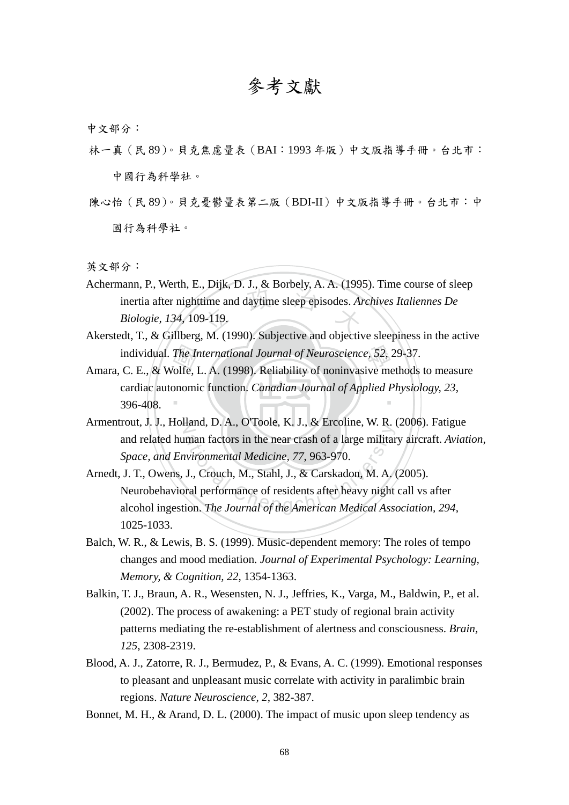## 參考文獻

中文部分:

- 林一真(民 89)。貝克焦慮量表(BAI:1993 年版)中文版指導手冊。台北市: 中國行為科學社。
- 陳心怡(民 89)。貝克憂鬱量表第二版(BDI-II)中文版指導手冊。台北市:中 國行為科學社。

英文部分:

- time and daytime sleep episodes. And<br> $\frac{1}{2}$ -119. Achermann, P., Werth, E., Dijk, D. J., & Borbely, A. A. (1995). Time course of sleep inertia after nighttime and daytime sleep episodes. *Archives Italiennes De Biologie, 134*, 109-119.
- Akerstedt, T., & Gillberg, M. (1990). Subjective and objective sleepiness in the active
- individual. *The International Journal of Neuroscience*, 52, 29-37.<br>
C. E., & Wolfe, L. A. (1998). Reliability of noninvasive methods<br>
cardiac autonomic function. *Canadian Journal of Applied Physiol*<br>
396-408. ‧ Amara, C. E., & Wolfe, L. A. (1998). Reliability of noninvasive methods to measure cardiac autonomic function. *Canadian Journal of Applied Physiology, 23*, 396-408.
- N Armentrout, J. J., Holland, D. A., O'Toole, K. J., & Ercoline, W. R. (2006). Fatigue and related human factors in the near crash of a large military aircraft. *Aviation, Space, and Environmental Medicine, 77*, 963-970.
- man factors in the near crash of a large militar<br>wironmental Medicine, 77, 963-970.<br>J., Crouch, M., Stahl, J., & Carskadon, M. A.<br>ral performance of residents after heavy night<br>ion. The Journal of the American Medical Asse Arnedt, J. T., Owens, J., Crouch, M., Stahl, J., & Carskadon, M. A. (2005). Neurobehavioral performance of residents after heavy night call vs after alcohol ingestion. *The Journal of the American Medical Association, 294*, 1025-1033.
- Balch, W. R., & Lewis, B. S. (1999). Music-dependent memory: The roles of tempo changes and mood mediation. *Journal of Experimental Psychology: Learning, Memory, & Cognition, 22*, 1354-1363.
- Balkin, T. J., Braun, A. R., Wesensten, N. J., Jeffries, K., Varga, M., Baldwin, P., et al. (2002). The process of awakening: a PET study of regional brain activity patterns mediating the re-establishment of alertness and consciousness. *Brain, 125*, 2308-2319.
- Blood, A. J., Zatorre, R. J., Bermudez, P., & Evans, A. C. (1999). Emotional responses to pleasant and unpleasant music correlate with activity in paralimbic brain regions. *Nature Neuroscience, 2*, 382-387.
- Bonnet, M. H., & Arand, D. L. (2000). The impact of music upon sleep tendency as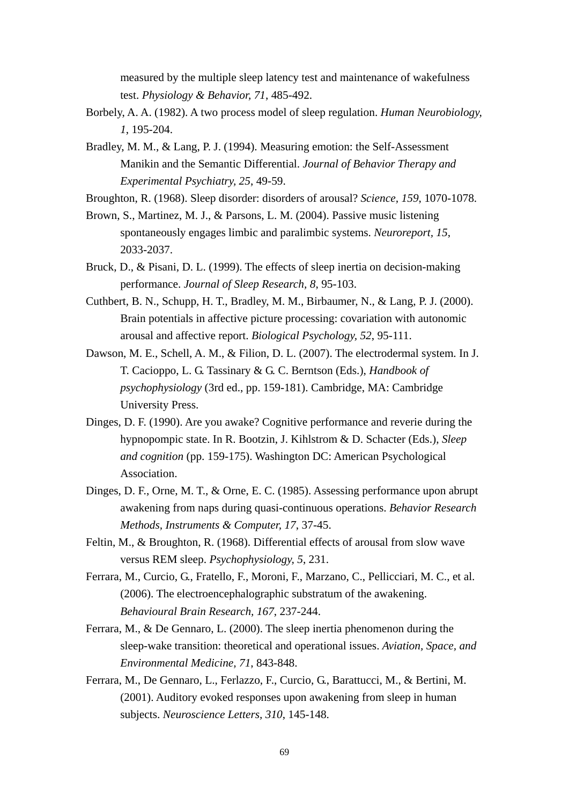measured by the multiple sleep latency test and maintenance of wakefulness test. *Physiology & Behavior, 71*, 485-492.

- Borbely, A. A. (1982). A two process model of sleep regulation. *Human Neurobiology, 1*, 195-204.
- Bradley, M. M., & Lang, P. J. (1994). Measuring emotion: the Self-Assessment Manikin and the Semantic Differential. *Journal of Behavior Therapy and Experimental Psychiatry, 25*, 49-59.
- Broughton, R. (1968). Sleep disorder: disorders of arousal? *Science, 159*, 1070-1078.
- Brown, S., Martinez, M. J., & Parsons, L. M. (2004). Passive music listening spontaneously engages limbic and paralimbic systems. *Neuroreport, 15*, 2033-2037.
- Bruck, D., & Pisani, D. L. (1999). The effects of sleep inertia on decision-making performance. *Journal of Sleep Research, 8*, 95-103.
- Cuthbert, B. N., Schupp, H. T., Bradley, M. M., Birbaumer, N., & Lang, P. J. (2000). Brain potentials in affective picture processing: covariation with autonomic arousal and affective report. *Biological Psychology, 52*, 95-111.
- Dawson, M. E., Schell, A. M., & Filion, D. L. (2007). The electrodermal system. In J. T. Cacioppo, L. G. Tassinary & G. C. Berntson (Eds.), *Handbook of psychophysiology* (3rd ed., pp. 159-181). Cambridge, MA: Cambridge University Press.
- Dinges, D. F. (1990). Are you awake? Cognitive performance and reverie during the hypnopompic state. In R. Bootzin, J. Kihlstrom & D. Schacter (Eds.), *Sleep and cognition* (pp. 159-175). Washington DC: American Psychological Association.
- Dinges, D. F., Orne, M. T., & Orne, E. C. (1985). Assessing performance upon abrupt awakening from naps during quasi-continuous operations. *Behavior Research Methods, Instruments & Computer, 17*, 37-45.
- Feltin, M., & Broughton, R. (1968). Differential effects of arousal from slow wave versus REM sleep. *Psychophysiology, 5*, 231.
- Ferrara, M., Curcio, G., Fratello, F., Moroni, F., Marzano, C., Pellicciari, M. C., et al. (2006). The electroencephalographic substratum of the awakening. *Behavioural Brain Research, 167*, 237-244.
- Ferrara, M., & De Gennaro, L. (2000). The sleep inertia phenomenon during the sleep-wake transition: theoretical and operational issues. *Aviation, Space, and Environmental Medicine, 71*, 843-848.
- Ferrara, M., De Gennaro, L., Ferlazzo, F., Curcio, G., Barattucci, M., & Bertini, M. (2001). Auditory evoked responses upon awakening from sleep in human subjects. *Neuroscience Letters, 310*, 145-148.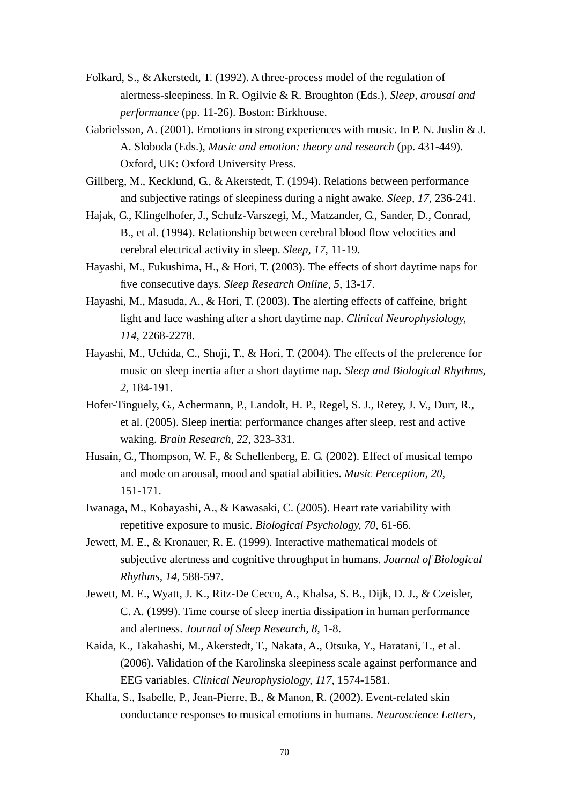- Folkard, S., & Akerstedt, T. (1992). A three-process model of the regulation of alertness-sleepiness. In R. Ogilvie & R. Broughton (Eds.), *Sleep, arousal and performance* (pp. 11-26). Boston: Birkhouse.
- Gabrielsson, A. (2001). Emotions in strong experiences with music. In P. N. Juslin & J. A. Sloboda (Eds.), *Music and emotion: theory and research* (pp. 431-449). Oxford, UK: Oxford University Press.
- Gillberg, M., Kecklund, G., & Akerstedt, T. (1994). Relations between performance and subjective ratings of sleepiness during a night awake. *Sleep, 17*, 236-241.
- Hajak, G., Klingelhofer, J., Schulz-Varszegi, M., Matzander, G., Sander, D., Conrad, B., et al. (1994). Relationship between cerebral blood flow velocities and cerebral electrical activity in sleep. *Sleep, 17*, 11-19.
- Hayashi, M., Fukushima, H., & Hori, T. (2003). The effects of short daytime naps for five consecutive days. *Sleep Research Online, 5*, 13-17.
- Hayashi, M., Masuda, A., & Hori, T. (2003). The alerting effects of caffeine, bright light and face washing after a short daytime nap. *Clinical Neurophysiology, 114*, 2268-2278.
- Hayashi, M., Uchida, C., Shoji, T., & Hori, T. (2004). The effects of the preference for music on sleep inertia after a short daytime nap. *Sleep and Biological Rhythms, 2*, 184-191.
- Hofer-Tinguely, G., Achermann, P., Landolt, H. P., Regel, S. J., Retey, J. V., Durr, R., et al. (2005). Sleep inertia: performance changes after sleep, rest and active waking. *Brain Research, 22*, 323-331.
- Husain, G., Thompson, W. F., & Schellenberg, E. G. (2002). Effect of musical tempo and mode on arousal, mood and spatial abilities. *Music Perception, 20*, 151-171.
- Iwanaga, M., Kobayashi, A., & Kawasaki, C. (2005). Heart rate variability with repetitive exposure to music. *Biological Psychology, 70*, 61-66.
- Jewett, M. E., & Kronauer, R. E. (1999). Interactive mathematical models of subjective alertness and cognitive throughput in humans. *Journal of Biological Rhythms, 14*, 588-597.
- Jewett, M. E., Wyatt, J. K., Ritz-De Cecco, A., Khalsa, S. B., Dijk, D. J., & Czeisler, C. A. (1999). Time course of sleep inertia dissipation in human performance and alertness. *Journal of Sleep Research, 8*, 1-8.
- Kaida, K., Takahashi, M., Akerstedt, T., Nakata, A., Otsuka, Y., Haratani, T., et al. (2006). Validation of the Karolinska sleepiness scale against performance and EEG variables. *Clinical Neurophysiology, 117*, 1574-1581.
- Khalfa, S., Isabelle, P., Jean-Pierre, B., & Manon, R. (2002). Event-related skin conductance responses to musical emotions in humans. *Neuroscience Letters,*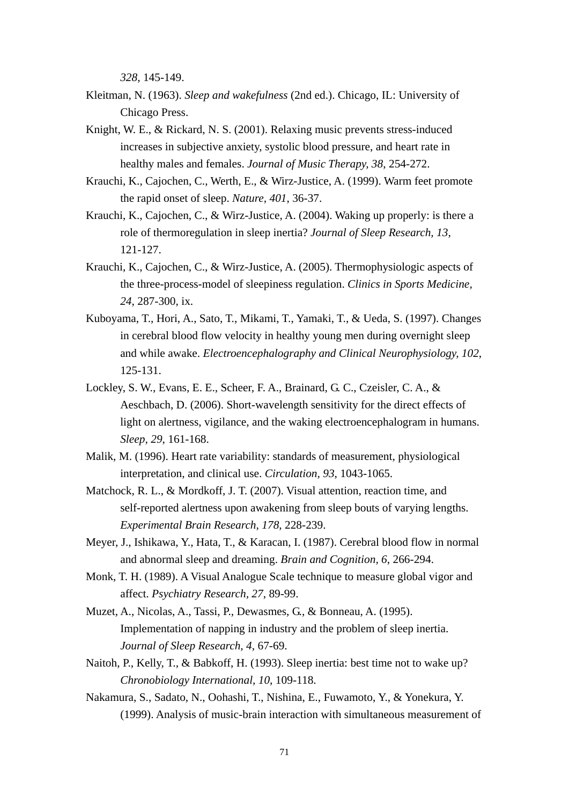*328*, 145-149.

- Kleitman, N. (1963). *Sleep and wakefulness* (2nd ed.). Chicago, IL: University of Chicago Press.
- Knight, W. E., & Rickard, N. S. (2001). Relaxing music prevents stress-induced increases in subjective anxiety, systolic blood pressure, and heart rate in healthy males and females. *Journal of Music Therapy, 38*, 254-272.
- Krauchi, K., Cajochen, C., Werth, E., & Wirz-Justice, A. (1999). Warm feet promote the rapid onset of sleep. *Nature, 401*, 36-37.
- Krauchi, K., Cajochen, C., & Wirz-Justice, A. (2004). Waking up properly: is there a role of thermoregulation in sleep inertia? *Journal of Sleep Research, 13*, 121-127.
- Krauchi, K., Cajochen, C., & Wirz-Justice, A. (2005). Thermophysiologic aspects of the three-process-model of sleepiness regulation. *Clinics in Sports Medicine, 24*, 287-300, ix.
- Kuboyama, T., Hori, A., Sato, T., Mikami, T., Yamaki, T., & Ueda, S. (1997). Changes in cerebral blood flow velocity in healthy young men during overnight sleep and while awake. *Electroencephalography and Clinical Neurophysiology, 102*, 125-131.
- Lockley, S. W., Evans, E. E., Scheer, F. A., Brainard, G. C., Czeisler, C. A., & Aeschbach, D. (2006). Short-wavelength sensitivity for the direct effects of light on alertness, vigilance, and the waking electroencephalogram in humans. *Sleep, 29*, 161-168.
- Malik, M. (1996). Heart rate variability: standards of measurement, physiological interpretation, and clinical use. *Circulation, 93*, 1043-1065.
- Matchock, R. L., & Mordkoff, J. T. (2007). Visual attention, reaction time, and self-reported alertness upon awakening from sleep bouts of varying lengths. *Experimental Brain Research, 178*, 228-239.
- Meyer, J., Ishikawa, Y., Hata, T., & Karacan, I. (1987). Cerebral blood flow in normal and abnormal sleep and dreaming. *Brain and Cognition, 6*, 266-294.
- Monk, T. H. (1989). A Visual Analogue Scale technique to measure global vigor and affect. *Psychiatry Research, 27*, 89-99.
- Muzet, A., Nicolas, A., Tassi, P., Dewasmes, G., & Bonneau, A. (1995). Implementation of napping in industry and the problem of sleep inertia. *Journal of Sleep Research, 4*, 67-69.
- Naitoh, P., Kelly, T., & Babkoff, H. (1993). Sleep inertia: best time not to wake up? *Chronobiology International, 10*, 109-118.
- Nakamura, S., Sadato, N., Oohashi, T., Nishina, E., Fuwamoto, Y., & Yonekura, Y. (1999). Analysis of music-brain interaction with simultaneous measurement of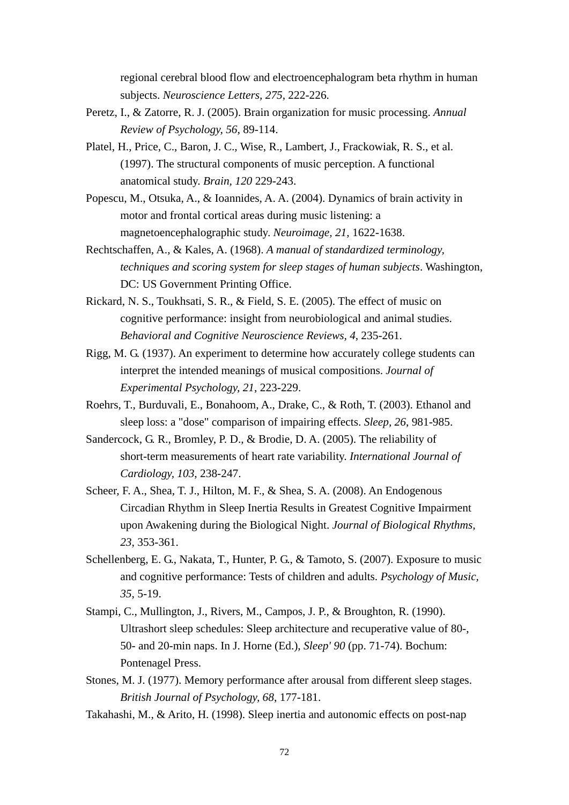regional cerebral blood flow and electroencephalogram beta rhythm in human subjects. *Neuroscience Letters, 275*, 222-226.

- Peretz, I., & Zatorre, R. J. (2005). Brain organization for music processing. *Annual Review of Psychology, 56*, 89-114.
- Platel, H., Price, C., Baron, J. C., Wise, R., Lambert, J., Frackowiak, R. S., et al. (1997). The structural components of music perception. A functional anatomical study. *Brain, 120* 229-243.
- Popescu, M., Otsuka, A., & Ioannides, A. A. (2004). Dynamics of brain activity in motor and frontal cortical areas during music listening: a magnetoencephalographic study. *Neuroimage, 21*, 1622-1638.
- Rechtschaffen, A., & Kales, A. (1968). *A manual of standardized terminology, techniques and scoring system for sleep stages of human subjects*. Washington, DC: US Government Printing Office.
- Rickard, N. S., Toukhsati, S. R., & Field, S. E. (2005). The effect of music on cognitive performance: insight from neurobiological and animal studies. *Behavioral and Cognitive Neuroscience Reviews, 4*, 235-261.
- Rigg, M. G. (1937). An experiment to determine how accurately college students can interpret the intended meanings of musical compositions. *Journal of Experimental Psychology, 21*, 223-229.
- Roehrs, T., Burduvali, E., Bonahoom, A., Drake, C., & Roth, T. (2003). Ethanol and sleep loss: a "dose" comparison of impairing effects. *Sleep, 26*, 981-985.
- Sandercock, G. R., Bromley, P. D., & Brodie, D. A. (2005). The reliability of short-term measurements of heart rate variability. *International Journal of Cardiology, 103*, 238-247.
- Scheer, F. A., Shea, T. J., Hilton, M. F., & Shea, S. A. (2008). An Endogenous Circadian Rhythm in Sleep Inertia Results in Greatest Cognitive Impairment upon Awakening during the Biological Night. *Journal of Biological Rhythms, 23*, 353-361.
- Schellenberg, E. G., Nakata, T., Hunter, P. G., & Tamoto, S. (2007). Exposure to music and cognitive performance: Tests of children and adults. *Psychology of Music, 35*, 5-19.
- Stampi, C., Mullington, J., Rivers, M., Campos, J. P., & Broughton, R. (1990). Ultrashort sleep schedules: Sleep architecture and recuperative value of 80-, 50- and 20-min naps. In J. Horne (Ed.), *Sleep' 90* (pp. 71-74). Bochum: Pontenagel Press.
- Stones, M. J. (1977). Memory performance after arousal from different sleep stages. *British Journal of Psychology, 68*, 177-181.
- Takahashi, M., & Arito, H. (1998). Sleep inertia and autonomic effects on post-nap